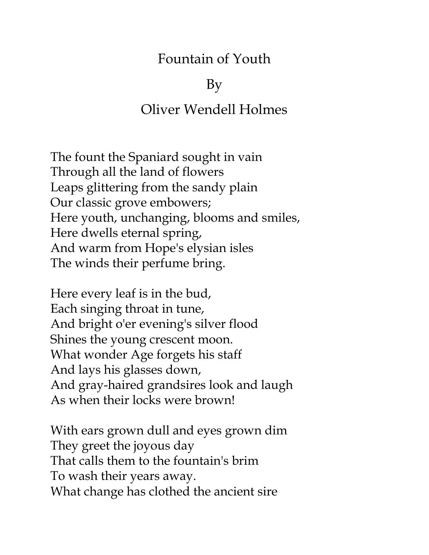## Fountain of Youth

## By

## Oliver Wendell Holmes

The fount the Spaniard sought in vain Through all the land of flowers Leaps glittering from the sandy plain Our classic grove embowers; Here youth, unchanging, blooms and smiles, Here dwells eternal spring, And warm from Hope's elysian isles The winds their perfume bring.

Here every leaf is in the bud, Each singing throat in tune, And bright o'er evening's silver flood Shines the young crescent moon. What wonder Age forgets his staff And lays his glasses down, And gray-haired grandsires look and laugh As when their locks were brown!

With ears grown dull and eyes grown dim They greet the joyous day That calls them to the fountain's brim To wash their years away. What change has clothed the ancient sire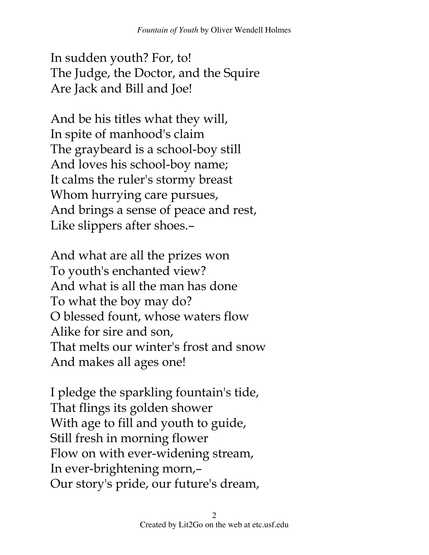In sudden youth? For, to! The Judge, the Doctor, and the Squire Are Jack and Bill and Joe!

And be his titles what they will, In spite of manhood's claim The graybeard is a school-boy still And loves his school-boy name; It calms the ruler's stormy breast Whom hurrying care pursues, And brings a sense of peace and rest, Like slippers after shoes.–

And what are all the prizes won To youth's enchanted view? And what is all the man has done To what the boy may do? O blessed fount, whose waters flow Alike for sire and son, That melts our winter's frost and snow And makes all ages one!

I pledge the sparkling fountain's tide, That flings its golden shower With age to fill and youth to guide, Still fresh in morning flower Flow on with ever-widening stream, In ever-brightening morn,– Our story's pride, our future's dream,